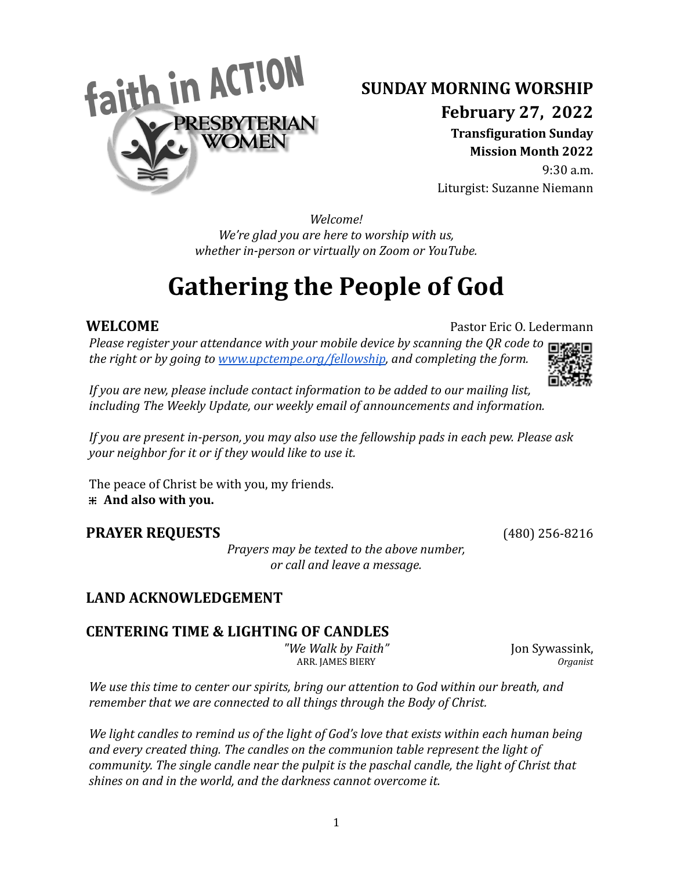

# **SUNDAY MORNING WORSHIP**

**February 27, 2022**

**Transfiguration Sunday Mission Month 2022**

9:30 a.m. Liturgist: Suzanne Niemann

*Welcome! We're glad you are here to worship with us, whether in-person or virtually on Zoom or YouTube.*

# **Gathering the People of God**

**WELCOME** Pastor Eric O. Ledermann

*Please register your attendance with your mobile device by scanning the QR code to the right or by going to [www.upctempe.org/fellowship](http://www.upctempe.org/fellowship), and completing the form.*



*If you are new, please include contact information to be added to our mailing list, including The Weekly Update, our weekly email of announcements and information.*

*If you are present in-person, you may also use the fellowship pads in each pew. Please ask your neighbor for it or if they would like to use it.*

The peace of Christ be with you, my friends. **⁜ And also with you.**

# **PRAYER REQUESTS** (480) 256-8216

*Prayers may be texted to the above number, or call and leave a message.*

# **LAND ACKNOWLEDGEMENT**

# **CENTERING TIME & LIGHTING OF CANDLES**

*"We Walk by Faith"* Jon Sywassink, ARR. JAMES BIERY *Organist*

*We use this time to center our spirits, bring our attention to God within our breath, and remember that we are connected to all things through the Body of Christ.*

*We light candles to remind us of the light of God's love that exists within each human being and every created thing. The candles on the communion table represent the light of community. The single candle near the pulpit is the paschal candle, the light of Christ that shines on and in the world, and the darkness cannot overcome it.*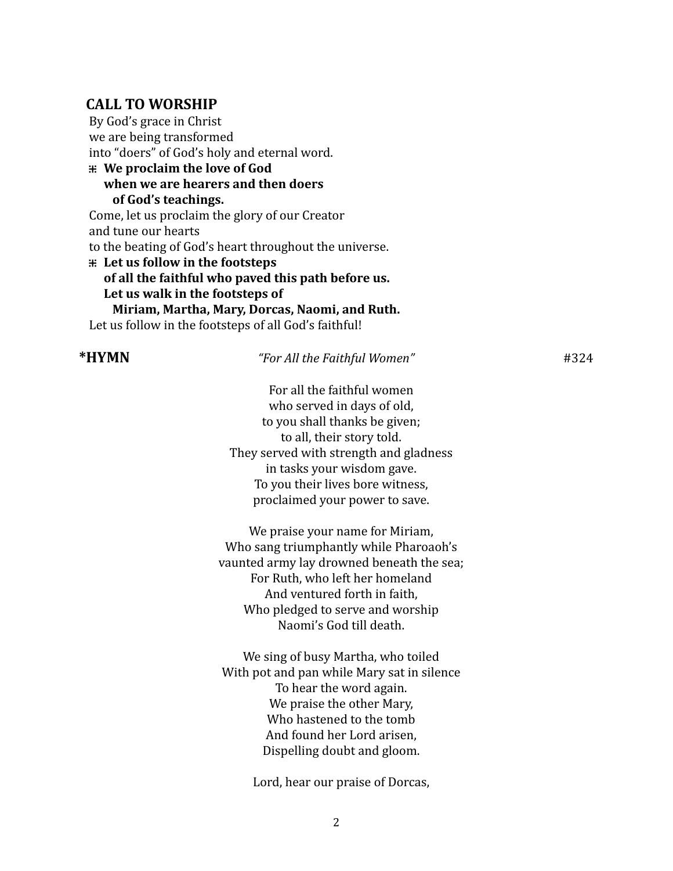#### **CALL TO WORSHIP**

By God's grace in Christ we are being transformed into "doers" of God's holy and eternal word. **⁜ We proclaim the love of God when we are hearers and then doers of God's teachings.** Come, let us proclaim the glory of our Creator and tune our hearts to the beating of God's heart throughout the universe. **⁜ Let us follow in the footsteps of all the faithful who paved this path before us. Let us walk in the footsteps of Miriam, Martha, Mary, Dorcas, Naomi, and Ruth.** Let us follow in the footsteps of all God's faithful!

#### **\*HYMN** *"For All the Faithful Women"* #324

For all the faithful women who served in days of old, to you shall thanks be given; to all, their story told. They served with strength and gladness in tasks your wisdom gave. To you their lives bore witness, proclaimed your power to save.

We praise your name for Miriam, Who sang triumphantly while Pharoaoh's vaunted army lay drowned beneath the sea; For Ruth, who left her homeland And ventured forth in faith, Who pledged to serve and worship Naomi's God till death.

We sing of busy Martha, who toiled With pot and pan while Mary sat in silence To hear the word again. We praise the other Mary, Who hastened to the tomb And found her Lord arisen, Dispelling doubt and gloom.

Lord, hear our praise of Dorcas,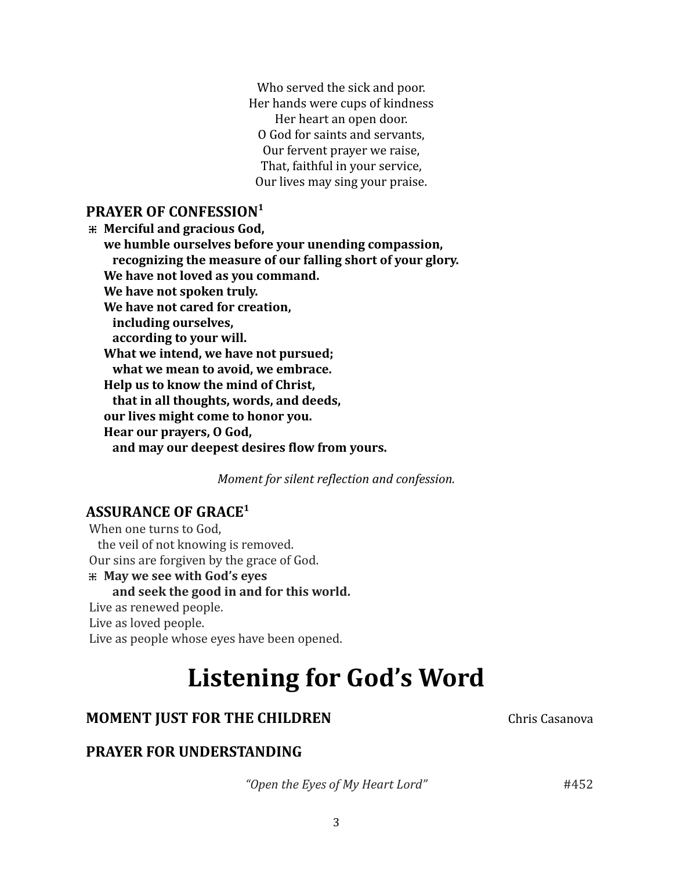Who served the sick and poor. Her hands were cups of kindness Her heart an open door. O God for saints and servants, Our fervent prayer we raise, That, faithful in your service, Our lives may sing your praise.

### **PRAYER OF CONFESSION 1**

**⁜ Merciful and gracious God, we humble ourselves before your unending compassion, recognizing the measure of our falling short of your glory. We have not loved as you command. We have not spoken truly. We have not cared for creation, including ourselves, according to your will. What we intend, we have not pursued; what we mean to avoid, we embrace. Help us to know the mind of Christ, that in all thoughts, words, and deeds, our lives might come to honor you. Hear our prayers, O God, and may our deepest desires flow from yours.**

*Moment for silent reflection and confession.*

# **ASSURANCE OF GRACE 1**

When one turns to God, the veil of not knowing is removed. Our sins are forgiven by the grace of God. **⁜ May we see with God's eyes and seek the good in and for this world.** Live as renewed people. Live as loved people. Live as people whose eyes have been opened.

**Listening for God's Word**

# **MOMENT JUST FOR THE CHILDREN** Chris Casanova

# **PRAYER FOR UNDERSTANDING**

*"Open the Eyes of My Heart Lord"* #452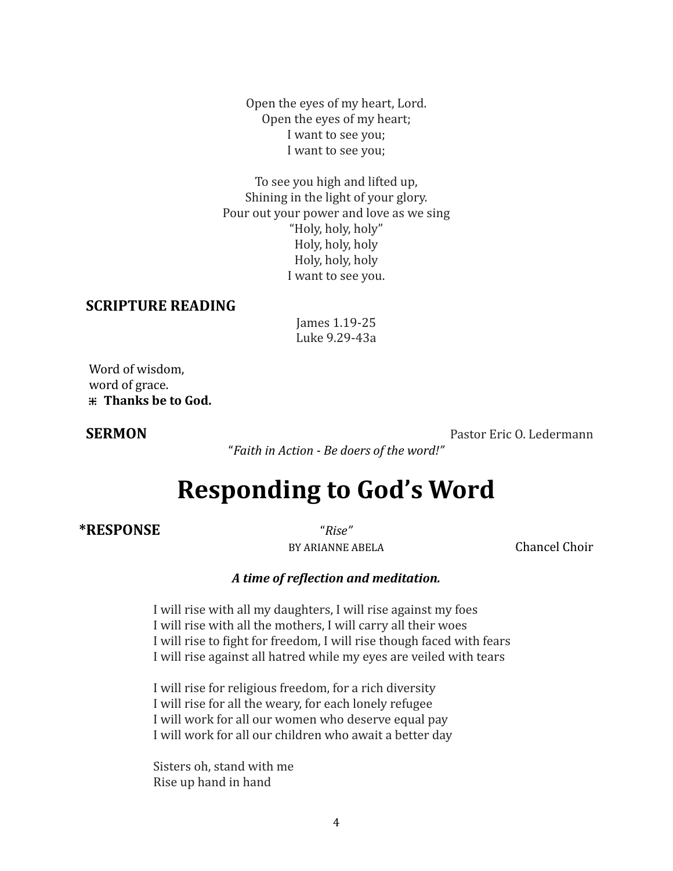Open the eyes of my heart, Lord. Open the eyes of my heart; I want to see you; I want to see you;

To see you high and lifted up, Shining in the light of your glory. Pour out your power and love as we sing "Holy, holy, holy" Holy, holy, holy Holy, holy, holy I want to see you.

#### **SCRIPTURE READING**

James 1.19-25 Luke 9.29-43a

Word of wisdom, word of grace. **⁜ Thanks be to God.**

**SERMON** Pastor Eric O. Ledermann

"*Faith in Action - Be doers of the word!"*

# **Responding to God's Word**

#### **\*RESPONSE** "*Rise"*

BY ARIANNE ABELA Chancel Choir

#### *A time of reflection and meditation.*

I will rise with all my daughters, I will rise against my foes I will rise with all the mothers, I will carry all their woes I will rise to fight for freedom, I will rise though faced with fears I will rise against all hatred while my eyes are veiled with tears

I will rise for religious freedom, for a rich diversity I will rise for all the weary, for each lonely refugee I will work for all our women who deserve equal pay I will work for all our children who await a better day

Sisters oh, stand with me Rise up hand in hand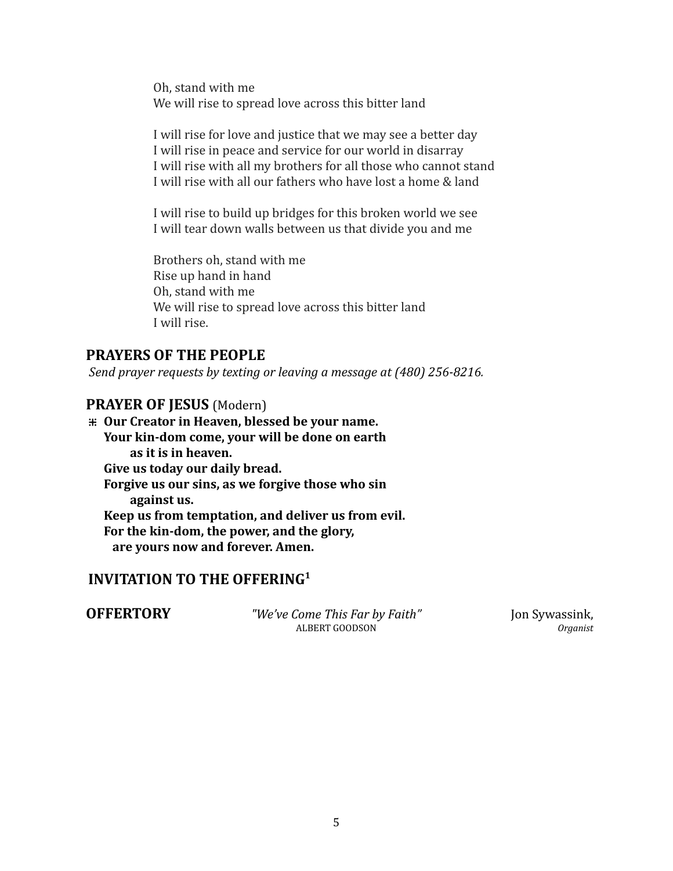Oh, stand with me We will rise to spread love across this bitter land

I will rise for love and justice that we may see a better day I will rise in peace and service for our world in disarray I will rise with all my brothers for all those who cannot stand I will rise with all our fathers who have lost a home & land

I will rise to build up bridges for this broken world we see I will tear down walls between us that divide you and me

Brothers oh, stand with me Rise up hand in hand Oh, stand with me We will rise to spread love across this bitter land I will rise.

### **PRAYERS OF THE PEOPLE**

*Send prayer requests by texting or leaving a message at (480) 256-8216.*

### **PRAYER OF JESUS** (Modern)

**⁜ Our Creator in Heaven, blessed be your name. Your kin-dom come, your will be done on earth as it is in heaven. Give us today our daily bread. Forgive us our sins, as we forgive those who sin against us. Keep us from temptation, and deliver us from evil. For the kin-dom, the power, and the glory, are yours now and forever. Amen.**

### **INVITATION TO THE OFFERING 1**

**OFFERTORY** *"We've Come This Far by Faith"* Jon Sywassink, Jon Symphrey *Organist* ALBERT GOODSON *Organist*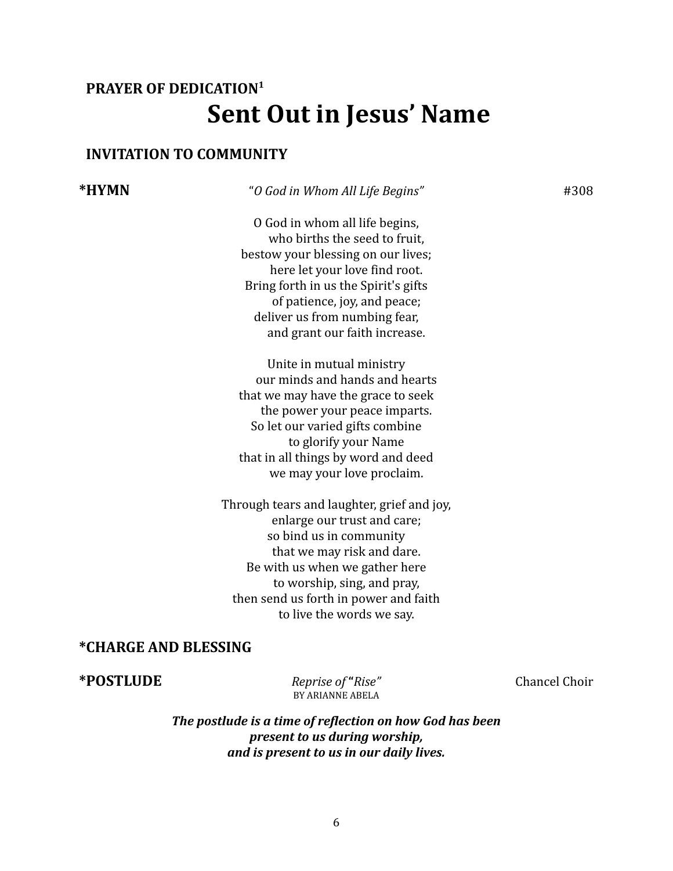# **PRAYER OF DEDICATION 1 Sent Out in Jesus' Name**

### **INVITATION TO COMMUNITY**

### **\*HYMN** "*O God in Whom All Life Begins"* #308

O God in whom all life begins, who births the seed to fruit. bestow your blessing on our lives; here let your love find root. Bring forth in us the Spirit's gifts of patience, joy, and peace; deliver us from numbing fear, and grant our faith increase.

Unite in mutual ministry our minds and hands and hearts that we may have the grace to seek the power your peace imparts. So let our varied gifts combine to glorify your Name that in all things by word and deed we may your love proclaim.

Through tears and laughter, grief and joy, enlarge our trust and care; so bind us in community that we may risk and dare. Be with us when we gather here to worship, sing, and pray, then send us forth in power and faith to live the words we say.

#### **\*CHARGE AND BLESSING**

**\*POSTLUDE** *Reprise of* **"***Rise"* Chancel Choir

BY ARIANNE ABELA

*The postlude is a time of reflection on how God has been present to us during worship, and is present to us in our daily lives.*